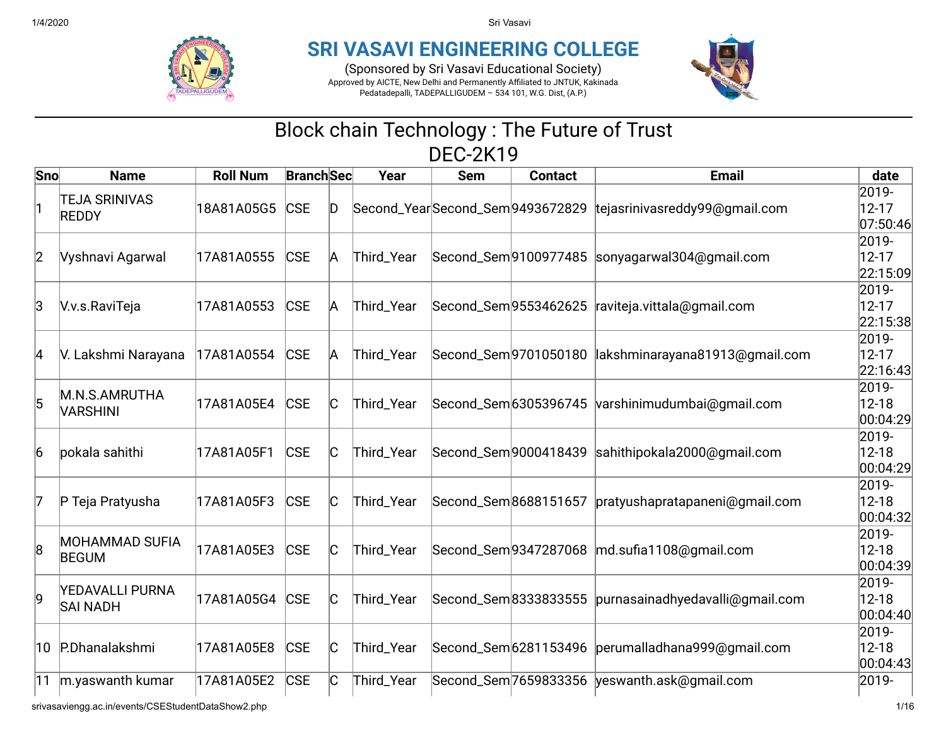

## **SRI VASAVI ENGINEERING COLLEGE**

(Sponsored by Sri Vasavi Educational Society) Approved by AICTE, New Delhi and Permanently Affiliated to JNTUK, Kakinada Pedatadepalli, TADEPALLIGUDEM – 534 101, W.G. Dist, (A.P.)



## Block chain Technology : The Future of Trust DEC-2K19

| Sno          | <b>Name</b>                                        | <b>Roll Num</b> | <b>Branch</b> Sec |    | Year       | <b>Sem</b>                      | <b>Contact</b>        | <b>Email</b>                                        | date                            |
|--------------|----------------------------------------------------|-----------------|-------------------|----|------------|---------------------------------|-----------------------|-----------------------------------------------------|---------------------------------|
| 11           | <b>TEJA SRINIVAS</b><br><b>REDDY</b>               | 18A81A05G5 CSE  |                   | D  |            | Second_YearSecond_Sem9493672829 |                       | tejasrinivasreddy99@gmail.com                       | 2019-<br>$12 - 17$<br>07:50:46  |
| $ 2\rangle$  | Vyshnavi Agarwal                                   | 17A81A0555      | <b>CSE</b>        | A  | Third_Year |                                 | Second_Sem9100977485  | sonyagarwal304@gmail.com                            | 2019-<br>$12 - 17$<br>22:15:09  |
| IЗ           | V.v.s.RaviTeja                                     | 17A81A0553      | <b>CSE</b>        | A  | Third_Year |                                 | Second_Sem 9553462625 | raviteja.vittala@gmail.com                          | 2019-<br>$12 - 17$<br>22:15:38  |
| 4            | V. Lakshmi Narayana                                | 17A81A0554      | <b>CSE</b>        | А  | Third_Year |                                 | Second_Sem 9701050180 | lakshminarayana81913@gmail.com                      | 2019-<br>$12 - 17$<br>22:16:43  |
| 5            | M.N.S.AMRUTHA<br><b>VARSHINI</b>                   | 17A81A05E4      | <b>CSE</b>        | C  | Third_Year |                                 |                       | Second_Sem 6305396745 varshinimudumbai@gmail.com    | 2019-<br>$12 - 18$<br> 00:04:29 |
| 16           | pokala sahithi                                     | 17A81A05F1      | <b>CSE</b>        | C  | Third_Year |                                 | Second_Sem 9000418439 | sahithipokala2000@gmail.com                         | 2019-<br>$12 - 18$<br> 00:04:29 |
| 17           | P Teja Pratyusha                                   | 17A81A05F3      | <b>CSE</b>        | C  | Third_Year |                                 | Second_Sem8688151657  | pratyushapratapaneni@gmail.com                      | 2019-<br>$12 - 18$<br>00:04:32  |
| 8            | <b>MOHAMMAD SUFIA</b><br><b>BEGUM</b>              | 17A81A05E3      | <b>CSE</b>        | C  | Third_Year |                                 |                       | Second_Sem9347287068  md.sufia1108@gmail.com        | 2019-<br>$12 - 18$<br> 00:04:39 |
| 9            | <b>YEDAVALLI PURNA</b><br><b>SAI NADH</b>          | 17A81A05G4 CSE  |                   | IC | Third_Year |                                 | Second_Sem8333833555  | purnasainadhyedavalli@gmail.com                     | 2019-<br>$12 - 18$<br>00:04:40  |
| $ 10\rangle$ | P.Dhanalakshmi                                     | 17A81A05E8      | <b>CSE</b>        | C  | Third_Year |                                 |                       | Second_Sem 6281153496  perumalladhana 999@gmail.com | 2019-<br>$12 - 18$<br> 00:04:43 |
| 11           | m.yaswanth kumar                                   | 17A81A05E2      | <b>CSE</b>        | C  | Third_Year |                                 |                       | Second_Sem 7659833356 yeswanth.ask@gmail.com        | 2019-                           |
|              | srivasaviengg.ac.in/events/CSEStudentDataShow2.php |                 |                   |    |            |                                 |                       |                                                     | 1/16                            |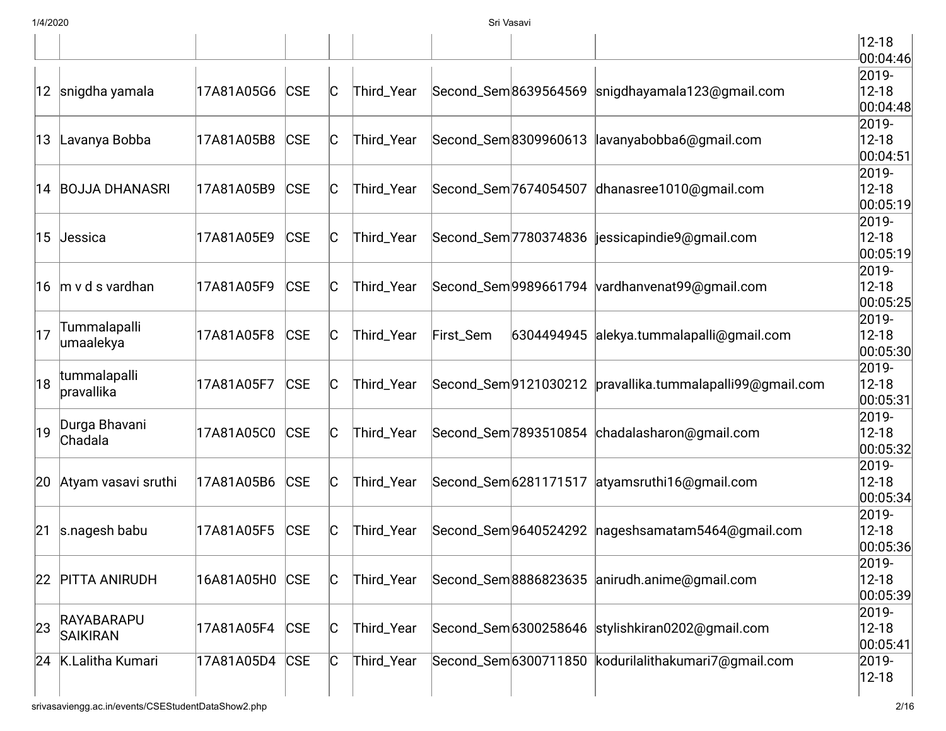|    |                               |            |            |              |            |           |                       |                                                             | $12 - 18$<br>00:04:46              |
|----|-------------------------------|------------|------------|--------------|------------|-----------|-----------------------|-------------------------------------------------------------|------------------------------------|
|    | 12 snigdha yamala             | 17A81A05G6 | <b>CSE</b> | IC           | Third_Year |           | Second_Sem8639564569  | snigdhayamala123@gmail.com                                  | 2019-<br>$12 - 18$<br> 00:04:48    |
| 13 | Lavanya Bobba                 | 17A81A05B8 | <b>CSE</b> | $\mathsf{C}$ | Third_Year |           |                       | Second_Sem8309960613  lavanyabobba6@gmail.com               | 2019-<br>$12 - 18$<br>00:04:51     |
|    | 14 BOJJA DHANASRI             | 17A81A05B9 | <b>CSE</b> | IС           | Third_Year |           | Second_Sem 7674054507 | dhanasree1010@gmail.com                                     | 2019-<br>$12 - 18$<br>00:05:19     |
| 15 | Jessica                       | 17A81A05E9 | <b>CSE</b> | C            | Third_Year |           |                       | Second_Sem 7780374836   jessicapindie 9@gmail.com           | 2019-<br>$12 - 18$<br> 00:05:19    |
|    | 16 m v d s vardhan            | 17A81A05F9 | <b>CSE</b> | C            | Third_Year |           |                       | Second_Sem9989661794 vardhanvenat99@gmail.com               | 2019-<br>$12 - 18$<br> 00:05:25    |
| 17 | Tummalapalli<br>umaalekya     | 17A81A05F8 | <b>CSE</b> | IС           | Third_Year | First_Sem |                       | 6304494945 alekya.tummalapalli@gmail.com                    | 2019-<br>$12 - 18$<br> 00:05:30    |
| 18 | tummalapalli<br>pravallika    | 17A81A05F7 | <b>CSE</b> | C            | Third_Year |           |                       | Second_Sem 9121030212  pravallika.tummalapalli 99@gmail.com | 2019-<br>$12 - 18$<br>00:05:31     |
| 19 | Durga Bhavani<br>Chadala      | 17A81A05C0 | <b>CSE</b> | IC           | Third_Year |           |                       | Second_Sem 7893510854 chadalasharon@gmail.com               | 2019-<br>$12 - 18$<br> 00:05:32    |
| 20 | Atyam vasavi sruthi           | 17A81A05B6 | <b>CSE</b> | IС           | Third_Year |           |                       | Second_Sem 6281171517 atyamsruthi16@gmail.com               | 2019-<br>$12 - 18$<br> 00:05:34    |
| 21 | s.nagesh babu                 | 17A81A05F5 | <b>CSE</b> | C            | Third_Year |           |                       | Second_Sem 9640524292   nageshsamatam 5464@gmail.com        | 2019-<br>$12 - 18$<br> 00:05:36    |
| 22 | <b>PITTA ANIRUDH</b>          | 16A81A05H0 | <b>CSE</b> | C            | Third_Year |           |                       | Second_Sem8886823635 anirudh.anime@gmail.com                | $2019 -$<br>$12 - 18$<br> 00:05:39 |
| 23 | RAYABARAPU<br><b>SAIKIRAN</b> | 17A81A05F4 | CSE        | C            | Third_Year |           |                       | Second_Sem 6300258646 stylishkiran0202@gmail.com            | 2019-<br>$12 - 18$<br>00:05:41     |
|    | 24 K.Lalitha Kumari           | 17A81A05D4 | <b>CSE</b> | C            | Third_Year |           |                       | Second_Sem 6300711850 kodurilalithakumari7@gmail.com        | 2019-<br>$12 - 18$                 |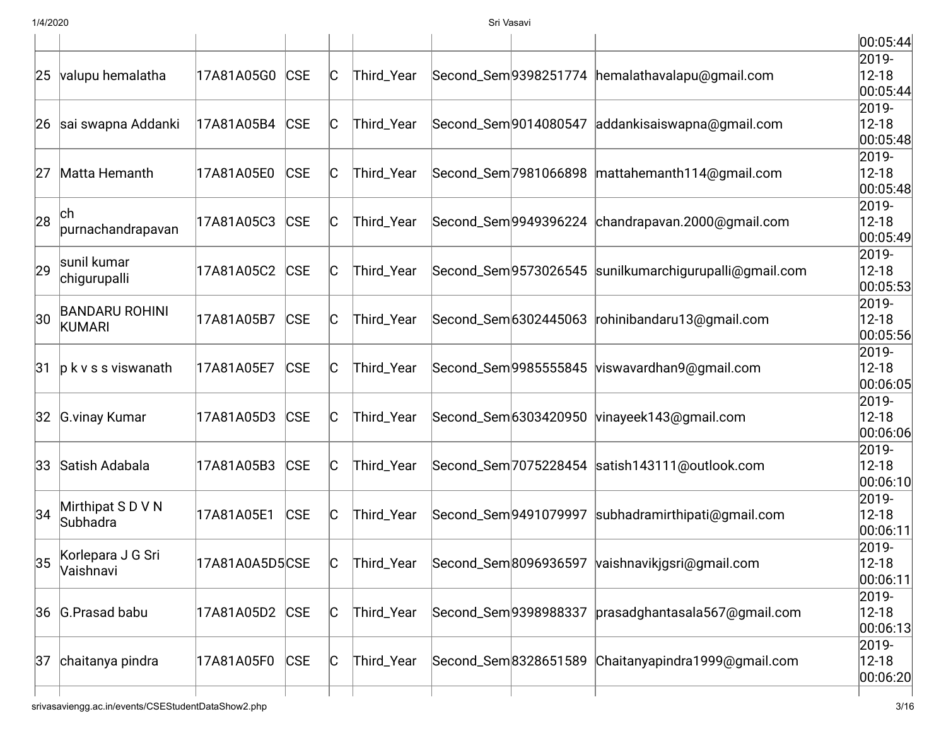|    |                         |                |            |              |            |                       |                       |                                                   | 00:05:44           |
|----|-------------------------|----------------|------------|--------------|------------|-----------------------|-----------------------|---------------------------------------------------|--------------------|
|    |                         |                |            |              |            |                       |                       |                                                   | 2019-              |
| 25 | valupu hemalatha        | 17A81A05G0     | <b>CSE</b> | $\mathsf C$  | Third_Year |                       | Second_Sem 9398251774 | hemalathavalapu@gmail.com                         | $12 - 18$          |
|    |                         |                |            |              |            |                       |                       |                                                   | 00:05:44 <br>2019- |
|    | 26 sai swapna Addanki   | 17A81A05B4     | CSE        | C            | Third_Year | Second_Sem 9014080547 |                       | addankisaiswapna@gmail.com                        | $12 - 18$          |
|    |                         |                |            |              |            |                       |                       |                                                   | 00:05:48           |
|    |                         |                |            |              |            |                       |                       |                                                   | 2019-              |
| 27 | Matta Hemanth           | 17A81A05E0     | <b>CSE</b> | C            | Third_Year |                       | Second_Sem 7981066898 | mattahemanth114@gmail.com                         | $12 - 18$          |
|    |                         |                |            |              |            |                       |                       |                                                   | 00:05:48           |
|    | ch                      |                |            |              |            |                       |                       |                                                   | 2019-              |
| 28 | purnachandrapavan       | 17A81A05C3     | <b>CSE</b> | C            | Third_Year |                       |                       | Second_Sem 9949396224 chandrapavan.2000@gmail.com | $12 - 18$          |
|    |                         |                |            |              |            |                       |                       |                                                   | 00:05:49           |
|    | sunil kumar             |                |            |              |            |                       |                       |                                                   | 2019-              |
| 29 | chigurupalli            | 17A81A05C2     | <b>CSE</b> | C            | Third_Year |                       | Second_Sem 9573026545 | sunilkumarchigurupalli@gmail.com                  | $12 - 18$          |
|    |                         |                |            |              |            |                       |                       |                                                   | 00:05:53<br>2019-  |
| 30 | <b>BANDARU ROHINI</b>   | 17A81A05B7     | <b>CSE</b> | $\mathsf C$  | Third_Year |                       | Second_Sem 6302445063 | rohinibandaru13@gmail.com                         | $12 - 18$          |
|    | <b>KUMARI</b>           |                |            |              |            |                       |                       |                                                   | 00:05:56           |
|    |                         |                |            |              |            |                       |                       |                                                   | 2019-              |
| 31 | $ p k v s s v$ iswanath | 17A81A05E7     | <b>CSE</b> | C            | Third_Year |                       | Second_Sem 9985555845 | viswavardhan9@gmail.com                           | $12 - 18$          |
|    |                         |                |            |              |            |                       |                       |                                                   | 00:06:05           |
|    |                         |                |            |              |            |                       |                       |                                                   | 2019-              |
|    | 32 G.vinay Kumar        | 17A81A05D3     | <b>CSE</b> | C            | Third_Year |                       |                       | Second_Sem 6303420950 vinayeek143@gmail.com       | $12 - 18$          |
|    |                         |                |            |              |            |                       |                       |                                                   | 00:06:06           |
|    |                         |                |            |              |            |                       |                       |                                                   | 2019-              |
|    | 33 Satish Adabala       | 17A81A05B3     | <b>CSE</b> | $\mathsf{C}$ | Third_Year |                       |                       | Second_Sem 7075228454 satish143111@outlook.com    | $12 - 18$          |
|    |                         |                |            |              |            |                       |                       |                                                   | 00:06:10 <br>2019- |
| 34 | Mirthipat S D V N       | 17A81A05E1     | <b>CSE</b> | C            | Third_Year |                       | Second_Sem 9491079997 | subhadramirthipati@gmail.com                      | $12 - 18$          |
|    | Subhadra                |                |            |              |            |                       |                       |                                                   | 00:06:11           |
|    |                         |                |            |              |            |                       |                       |                                                   | 2019-              |
| 35 | Korlepara J G Sri       | 17A81A0A5D5CSE |            | C            | Third_Year |                       |                       | Second_Sem 8096936597 vaishnavikjgsri@gmail.com   | $ 12 - 18$         |
|    | Vaishnavi               |                |            |              |            |                       |                       |                                                   | 00:06:11           |
|    |                         |                |            |              |            |                       |                       |                                                   | 2019-              |
|    | 36 G.Prasad babu        | 17A81A05D2     | <b>CSE</b> | C            | Third_Year |                       | Second_Sem9398988337  | prasadghantasala567@gmail.com                     | $12 - 18$          |
|    |                         |                |            |              |            |                       |                       |                                                   | 00:06:13           |
|    |                         |                |            |              |            |                       |                       |                                                   | 2019-              |
| 37 | chaitanya pindra        | 17A81A05F0     | CSE        | $\mathsf C$  | Third_Year |                       | Second_Sem 8328651589 | Chaitanyapindra1999@gmail.com                     | $12 - 18$          |
|    |                         |                |            |              |            |                       |                       |                                                   | 00:06:20           |
|    |                         |                |            |              |            |                       |                       |                                                   |                    |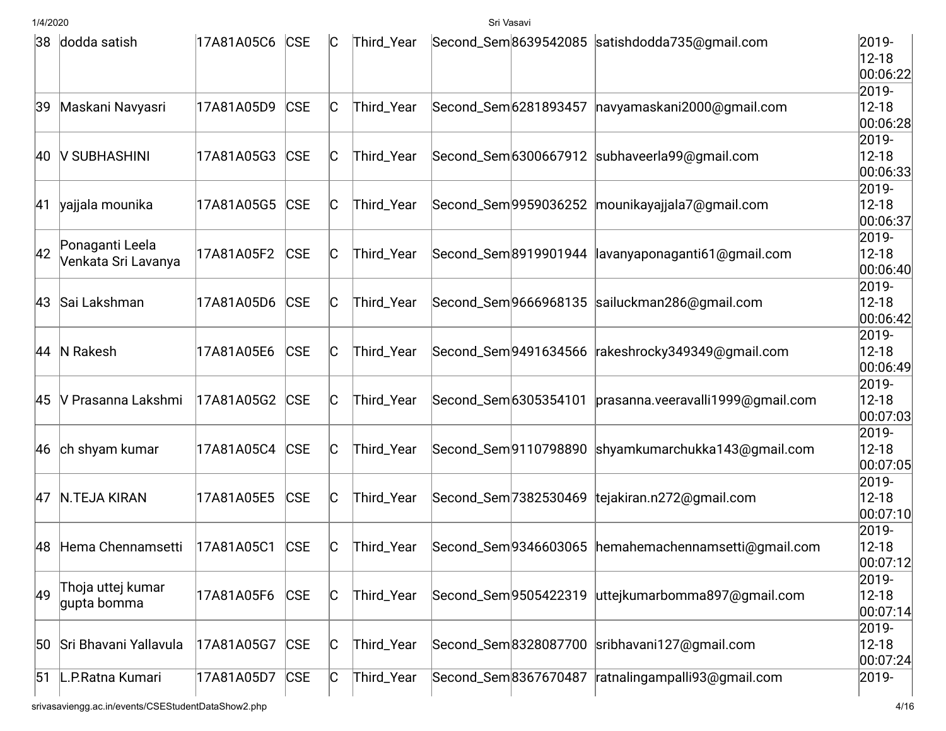|    | 38 dodda satish         | 17A81A05C6 CSE |            | Ю            | Third_Year |                       |                       | Second_Sem8639542085 satishdodda735@gmail.com       | 2019-                  |
|----|-------------------------|----------------|------------|--------------|------------|-----------------------|-----------------------|-----------------------------------------------------|------------------------|
|    |                         |                |            |              |            |                       |                       |                                                     | $12 - 18$<br>00:06:22  |
|    |                         |                |            |              |            |                       |                       |                                                     | 2019-                  |
| 39 | Maskani Navyasri        | 17A81A05D9     | <b>CSE</b> | C            | Third_Year | Second_Sem 6281893457 |                       | navyamaskani2000@gmail.com                          | $12 - 18$              |
|    |                         |                |            |              |            |                       |                       |                                                     | 00:06:28               |
|    |                         |                |            |              |            |                       |                       |                                                     | 2019-                  |
|    | 40   V SUBHASHINI       | 17A81A05G3     | <b>CSE</b> | C            | Third_Year |                       |                       | Second_Sem6300667912 subhaveerla99@gmail.com        | $12 - 18$              |
|    |                         |                |            |              |            |                       |                       |                                                     | 00:06:33               |
|    |                         |                |            |              |            |                       |                       |                                                     | 2019-                  |
| 41 | yajjala mounika         | 17A81A05G5     | <b>CSE</b> | IC           | Third_Year |                       | Second_Sem9959036252  | mounikayajjala7@gmail.com                           | $12 - 18$              |
|    |                         |                |            |              |            |                       |                       |                                                     | 00:06:37               |
| 42 | Ponaganti Leela         |                |            |              |            |                       |                       |                                                     | 2019-                  |
|    | Venkata Sri Lavanya     | 17A81A05F2     | <b>CSE</b> | C            | Third_Year |                       | Second_Sem8919901944  | lavanyaponaganti61@gmail.com                        | $12 - 18$<br>00:06:40  |
|    |                         |                |            |              |            |                       |                       |                                                     | 2019-                  |
| 43 | Sai Lakshman            | 17A81A05D6     | <b>CSE</b> | C            | Third_Year |                       |                       | Second_Sem9666968135 sailuckman286@qmail.com        | $12 - 18$              |
|    |                         |                |            |              |            |                       |                       |                                                     | 00:06:42               |
|    |                         |                |            |              |            |                       |                       |                                                     | 2019-                  |
|    | 44 N Rakesh             | 17A81A05E6     | <b>CSE</b> | $\mathsf{C}$ | Third_Year |                       | Second_Sem 9491634566 | rakeshrocky349349@qmail.com                         | $12 - 18$              |
|    |                         |                |            |              |            |                       |                       |                                                     | 00:06:49               |
|    |                         |                |            |              |            |                       |                       |                                                     | 2019-                  |
|    | 45   V Prasanna Lakshmi | 17A81A05G2     | <b>CSE</b> | C            | Third_Year | Second_Sem 6305354101 |                       | prasanna.veeravalli1999@gmail.com                   | $12 - 18$              |
|    |                         |                |            |              |            |                       |                       |                                                     | 00:07:03               |
|    |                         |                |            |              |            |                       |                       |                                                     | 2019-                  |
|    | 46 ch shyam kumar       | 17A81A05C4     | <b>CSE</b> | C            | Third_Year |                       |                       | Second_Sem9110798890 shyamkumarchukka143@gmail.com  | $12 - 18$<br> 00:07:05 |
|    |                         |                |            |              |            |                       |                       |                                                     | 2019-                  |
| 47 | N.TEJA KIRAN            | 17A81A05E5     | <b>CSE</b> | C            | Third_Year |                       |                       | Second_Sem 7382530469 tejakiran.n272@gmail.com      | $12 - 18$              |
|    |                         |                |            |              |            |                       |                       |                                                     | 00:07:10               |
|    |                         |                |            |              |            |                       |                       |                                                     | 2019-                  |
| 48 | Hema Chennamsetti       | 17A81A05C1     | <b>CSE</b> | C            | Third_Year |                       |                       | Second_Sem9346603065 hemahemachennamsetti@gmail.com | $12 - 18$              |
|    |                         |                |            |              |            |                       |                       |                                                     | 00:07:12               |
|    | Thoja uttej kumar       |                |            |              |            |                       |                       |                                                     | 2019-                  |
| 49 | gupta bomma             | 17A81A05F6     | <b>CSE</b> | $\mathsf{C}$ | Third_Year | Second_Sem 9505422319 |                       | uttejkumarbomma897@gmail.com                        | $12 - 18$              |
|    |                         |                |            |              |            |                       |                       |                                                     | 00:07:14               |
|    |                         |                |            |              |            |                       |                       |                                                     | 2019-                  |
| 50 | Sri Bhavani Yallavula   | 17A81A05G7     | <b>CSE</b> | C            | Third_Year |                       | Second_Sem8328087700  | sribhavani127@gmail.com                             | $12 - 18$              |
| 51 | L.P.Ratna Kumari        | 17A81A05D7     | <b>CSE</b> | $\mathsf{C}$ | Third_Year | Second_Sem 8367670487 |                       | ratnalingampalli93@gmail.com                        | 00:07:24 <br>2019-     |
|    |                         |                |            |              |            |                       |                       |                                                     |                        |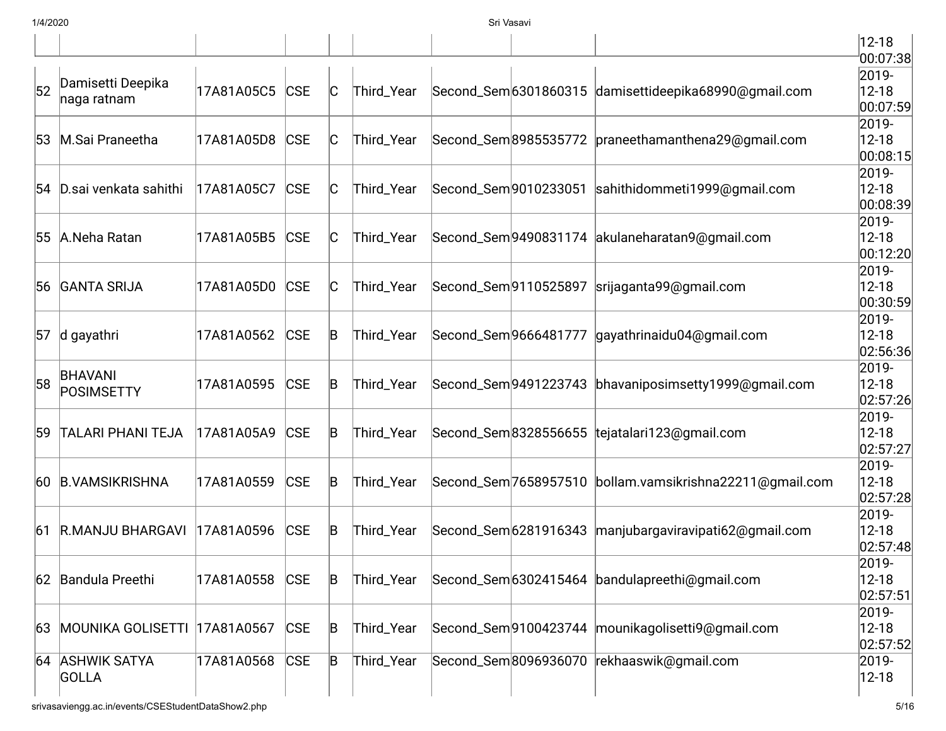|    |                                  |            |            |              |            |                       |                       |                                                      | $12 - 18$                                   |
|----|----------------------------------|------------|------------|--------------|------------|-----------------------|-----------------------|------------------------------------------------------|---------------------------------------------|
| 52 | Damisetti Deepika<br>naga ratnam | 17A81A05C5 | <b>CSE</b> | $\mathsf{C}$ | Third_Year |                       |                       | Second_Sem6301860315 damisettideepika68990@gmail.com | 00:07:38<br>2019-<br>$12 - 18$<br> 00:07:59 |
| 53 | M.Sai Praneetha                  | 17A81A05D8 | <b>CSE</b> | $\mathsf{C}$ | Third_Year |                       | Second_Sem 8985535772 | praneethamanthena29@gmail.com                        | 2019-<br>$12 - 18$<br>00:08:15              |
| 54 | D.sai venkata sahithi            | 17A81A05C7 | <b>CSE</b> | C            | Third_Year | Second_Sem 9010233051 |                       | sahithidommeti1999@gmail.com                         | 2019-<br>$12 - 18$<br> 00:08:39             |
| 55 | A.Neha Ratan                     | 17A81A05B5 | <b>CSE</b> | $\mathsf{C}$ | Third_Year |                       | Second_Sem 9490831174 | akulaneharatan9@gmail.com                            | $2019 -$<br>$12 - 18$<br> 00:12:20          |
| 56 | <b>GANTA SRIJA</b>               | 17A81A05D0 | <b>CSE</b> | IС           | Third_Year | Second_Sem9110525897  |                       | srijaganta99@gmail.com                               | $2019 -$<br>$12 - 18$<br> 00:30:59          |
| 57 | d gayathri                       | 17A81A0562 | <b>CSE</b> | $\mathsf B$  | Third_Year | Second_Sem9666481777  |                       | gayathrinaidu04@gmail.com                            | 2019-<br>$12 - 18$<br> 02:56:36             |
| 58 | <b>BHAVANI</b><br>POSIMSETTY     | 17A81A0595 | <b>CSE</b> | B            | Third_Year |                       | Second_Sem 9491223743 | bhavaniposimsetty1999@gmail.com                      | 2019-<br>$12 - 18$<br> 02:57:26             |
| 59 | <b>TALARI PHANI TEJA</b>         | 17A81A05A9 | <b>CSE</b> | B            | Third_Year |                       | Second_Sem8328556655  | tejatalari123@gmail.com                              | 2019-<br>$12 - 18$<br> 02:57:27             |
| 60 | <b>B.VAMSIKRISHNA</b>            | 17A81A0559 | <b>CSE</b> | B            | Third_Year |                       | Second_Sem 7658957510 | bollam.vamsikrishna22211@gmail.com                   | 2019-<br>$12 - 18$<br> 02:57:28             |
| 61 | <b>R.MANJU BHARGAVI</b>          | 17A81A0596 | <b>CSE</b> | B            | Third_Year |                       | Second_Sem 6281916343 | manjubargaviravipati62@gmail.com                     | 2019-<br>$12 - 18$<br> 02:57:48             |
|    | 62 Bandula Preethi               | 17A81A0558 | <b>CSE</b> | $\mathsf B$  | Third_Year |                       |                       | Second_Sem 6302415464 bandulapreethi@gmail.com       | 2019-<br>$12 - 18$<br> 02:57:51             |
| 63 | <b>MOUNIKA GOLISETTI</b>         | 17A81A0567 | <b>CSE</b> | $\mathsf B$  | Third_Year |                       | Second_Sem 9100423744 | mounikagolisetti9@gmail.com                          | 2019-<br>$12 - 18$<br> 02:57:52             |
| 64 | <b>ASHWIK SATYA</b><br>GOLLA     | 17A81A0568 | <b>CSE</b> | $\mathsf B$  | Third_Year |                       | Second_Sem8096936070  | rekhaaswik@gmail.com                                 | 2019-<br>$ 12 - 18$                         |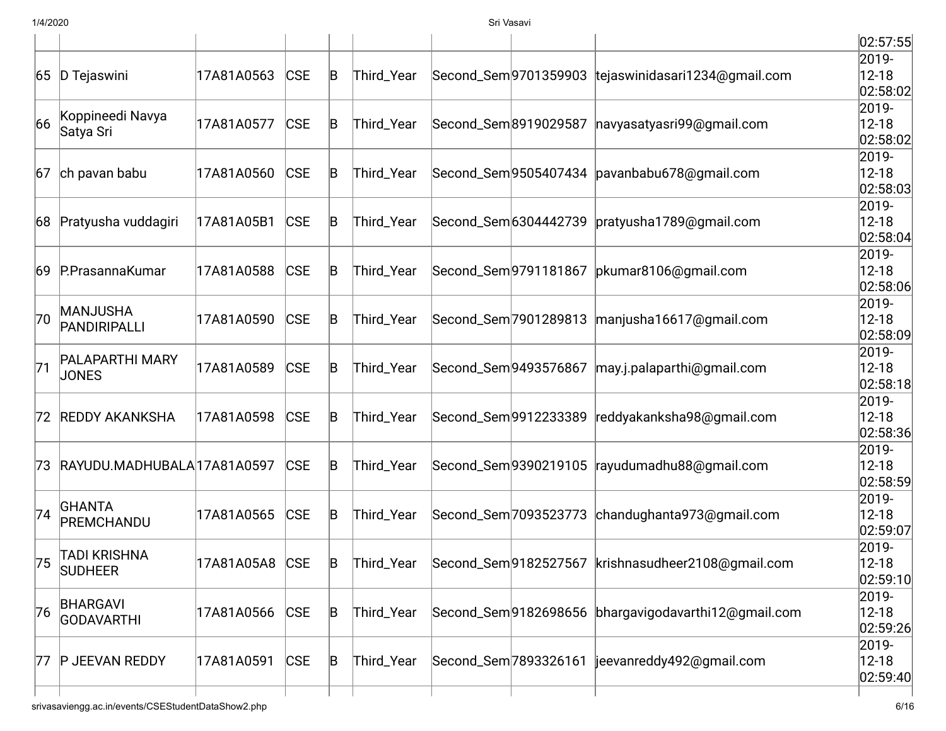|    |                             |                |            |             |            |                       |                                                       | 02:57:55             |
|----|-----------------------------|----------------|------------|-------------|------------|-----------------------|-------------------------------------------------------|----------------------|
|    |                             |                |            |             |            |                       |                                                       | 2019-                |
|    | 65 D Tejaswini              | 17A81A0563     | <b>CSE</b> | B           | Third_Year |                       | Second_Sem 9701359903 tejaswinidasari1234@gmail.com   | $12 - 18$            |
|    |                             |                |            |             |            |                       |                                                       | 02:58:02             |
| 66 | Koppineedi Navya            | 17A81A0577     | <b>CSE</b> | B           | Third_Year | Second_Sem 8919029587 | navyasatyasri99@gmail.com                             | 2019-<br>$12 - 18$   |
|    | Satya Sri                   |                |            |             |            |                       |                                                       | 02:58:02             |
|    |                             |                |            |             |            |                       |                                                       | 2019-                |
| 67 | ch pavan babu               | 17A81A0560     | <b>CSE</b> | B           | Third_Year |                       | Second_Sem9505407434 pavanbabu678@gmail.com           | $12 - 18$            |
|    |                             |                |            |             |            |                       |                                                       | 02:58:03             |
|    |                             |                |            |             |            |                       |                                                       | 2019-                |
| 68 | Pratyusha vuddagiri         | 17A81A05B1     | <b>CSE</b> | B           | Third_Year | Second_Sem 6304442739 | pratyusha1789@gmail.com                               | $12 - 18$            |
|    |                             |                |            |             |            |                       |                                                       | 02:58:04             |
|    |                             |                |            |             |            |                       |                                                       | 2019-                |
| 69 | P.PrasannaKumar             | 17A81A0588     | <b>CSE</b> | B           | Third_Year | Second_Sem 9791181867 | pkumar8106@gmail.com                                  | $12 - 18$            |
|    |                             |                |            |             |            |                       |                                                       | 02:58:06             |
|    | MANJUSHA                    |                |            |             |            |                       |                                                       | 2019-                |
| 70 | PANDIRIPALLI                | 17A81A0590     | <b>CSE</b> | B           | Third_Year | Second_Sem 7901289813 | manjusha16617@gmail.com                               | $12 - 18$            |
|    |                             |                |            |             |            |                       |                                                       | 02:58:09             |
| 71 | PALAPARTHI MARY             | 17A81A0589     | <b>CSE</b> | B           | Third_Year | Second_Sem 9493576867 | may.j.palaparthi@gmail.com                            | 2019-<br>$12 - 18$   |
|    | <b>JONES</b>                |                |            |             |            |                       |                                                       | 02:58:18             |
|    |                             |                |            |             |            |                       |                                                       | 2019-                |
|    | 72 REDDY AKANKSHA           | 17A81A0598     | <b>CSE</b> | B           | Third_Year | Second_Sem 9912233389 | reddyakanksha98@gmail.com                             | $12 - 18$            |
|    |                             |                |            |             |            |                       |                                                       | 02:58:36             |
|    |                             |                |            |             |            |                       |                                                       | 2019-                |
| 73 | RAYUDU.MADHUBALA 17A81A0597 |                | <b>CSE</b> | B           | Third_Year | Second_Sem 9390219105 | rayudumadhu88@gmail.com                               | $12 - 18$            |
|    |                             |                |            |             |            |                       |                                                       | 02:58:59             |
|    | GHANTA                      |                |            |             |            |                       |                                                       | 2019-                |
| 74 | PREMCHANDU                  | 17A81A0565     | <b>CSE</b> | B           | Third_Year | Second_Sem 7093523773 | chandughanta973@gmail.com                             | $12 - 18$            |
|    |                             |                |            |             |            |                       |                                                       | 02:59:07             |
|    | <b>TADI KRISHNA</b>         |                |            |             |            |                       |                                                       | 2019-                |
| 75 | <b>SUDHEER</b>              | 17A81A05A8 CSE |            | B           | Third_Year |                       | Second_Sem 9182527567 krishnasudheer 2108@gmail.com   | $ 12 - 18$           |
|    |                             |                |            |             |            |                       |                                                       | 02:59:10<br>$2019 -$ |
| 76 | <b>BHARGAVI</b>             | 17A81A0566     | <b>CSE</b> | $\mathsf B$ | Third_Year |                       | Second_Sem 9182698656 bhargavigodavarthi 12@gmail.com | $12 - 18$            |
|    | GODAVARTHI                  |                |            |             |            |                       |                                                       | 02:59:26             |
|    |                             |                |            |             |            |                       |                                                       | 2019-                |
| 77 | P JEEVAN REDDY              | 17A81A0591     | <b>CSE</b> | $\mathsf B$ | Third_Year | Second_Sem 7893326161 | jeevanreddy492@gmail.com                              | $12 - 18$            |
|    |                             |                |            |             |            |                       |                                                       | 02:59:40             |
|    |                             |                |            |             |            |                       |                                                       |                      |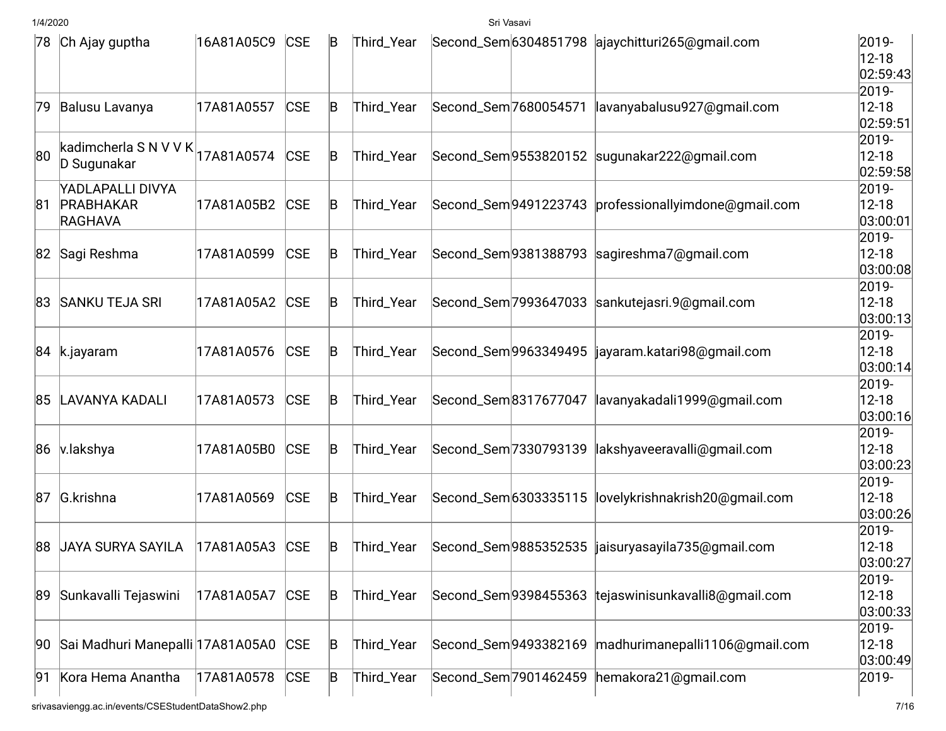| $12 - 18$                                                                                                                                       |          |
|-------------------------------------------------------------------------------------------------------------------------------------------------|----------|
|                                                                                                                                                 | 02:59:43 |
| 2019-                                                                                                                                           |          |
| $12 - 18$<br>Second_Sem 7680054571<br>lavanyabalusu927@gmail.com<br>Balusu Lavanya<br>17A81A0557<br><b>CSE</b><br>B<br>Third_Year<br>79         |          |
|                                                                                                                                                 | 02:59:51 |
| 2019-<br>kadimcherla S N V V K $ $ 17A81A0574                                                                                                   |          |
| <b>CSE</b><br>80<br>Second_Sem9553820152 sugunakar222@gmail.com<br>$12 - 18$<br>Third_Year<br>B<br>D Sugunakar                                  |          |
|                                                                                                                                                 | 02:59:58 |
| YADLAPALLI DIVYA<br>2019-<br>$12 - 18$<br><b>CSE</b><br>Third_Year                                                                              |          |
| PRABHAKAR<br>Second_Sem 9491223743 professionallyimdone@gmail.com<br>17A81A05B2<br>B<br>81<br><b>RAGHAVA</b>                                    | 03:00:01 |
| 2019-                                                                                                                                           |          |
| $12 - 18$<br>Second_Sem9381388793 sagireshma7@gmail.com<br>82 Sagi Reshma<br>17A81A0599<br><b>CSE</b><br>Third_Year<br>B                        |          |
|                                                                                                                                                 | 03:00:08 |
| 2019-                                                                                                                                           |          |
| $12 - 18$<br>83 SANKU TEJA SRI<br><b>CSE</b><br>Second_Sem 7993647033 sankutejasri.9@gmail.com<br>17A81A05A2<br>Third_Year<br>B                 |          |
|                                                                                                                                                 | 03:00:13 |
| 2019-                                                                                                                                           |          |
| $12 - 18$<br>Second_Sem9963349495  jayaram.katari98@gmail.com<br>17A81A0576<br>CSE<br>Third_Year<br>84 k.jayaram<br>B                           |          |
|                                                                                                                                                 | 03:00:14 |
| 2019-                                                                                                                                           |          |
| $12 - 18$<br>85 LAVANYA KADALI<br><b>CSE</b><br>Second_Sem 8317677047<br>lavanyakadali1999@gmail.com<br>17A81A0573<br>Third_Year<br>B           |          |
|                                                                                                                                                 | 03:00:16 |
| 2019-                                                                                                                                           |          |
| <b>CSE</b><br>Second_Sem 7330793139<br>lakshyaveeravalli@gmail.com<br>$12 - 18$<br>86 v.lakshya<br>17A81A05B0<br>Third_Year<br>B                |          |
| 2019-                                                                                                                                           | 03:00:23 |
| Second_Sem 6303335115<br>$12 - 18$<br>G.krishna<br><b>CSE</b><br>lovelykrishnakrish20@gmail.com<br>87<br>17A81A0569<br>Third_Year<br>B          |          |
|                                                                                                                                                 | 03:00:26 |
| 2019-                                                                                                                                           |          |
| 88 JAYA SURYA SAYILA<br>Second_Sem9885352535<br>$12 - 18$<br>17A81A05A3<br><b>CSE</b><br>Third_Year<br>jaisuryasayila735@gmail.com<br>ΙB        |          |
|                                                                                                                                                 | 03:00:27 |
| 2019-                                                                                                                                           |          |
| $12 - 18$<br>Sunkavalli Tejaswini<br><b>CSE</b><br>Second_Sem 9398455363 tejaswinisunkavalli8@gmail.com<br>17A81A05A7<br>89<br>B<br>Third_Year  |          |
|                                                                                                                                                 | 03:00:33 |
| 2019-                                                                                                                                           |          |
| Sai Madhuri Manepalli 17A81A05A0<br>madhurimanepalli1106@gmail.com<br>$12 - 18$<br><b>CSE</b><br>Second_Sem 9493382169<br>B<br>Third_Year<br>90 |          |
|                                                                                                                                                 | 03:00:49 |
| Kora Hema Anantha<br><b>CSE</b><br>Third_Year<br>Second_Sem 7901462459<br>hemakora21@gmail.com<br>2019-<br>17A81A0578<br>B<br>91                |          |
| srivasaviengg.ac.in/events/CSEStudentDataShow2.php                                                                                              | 7/16     |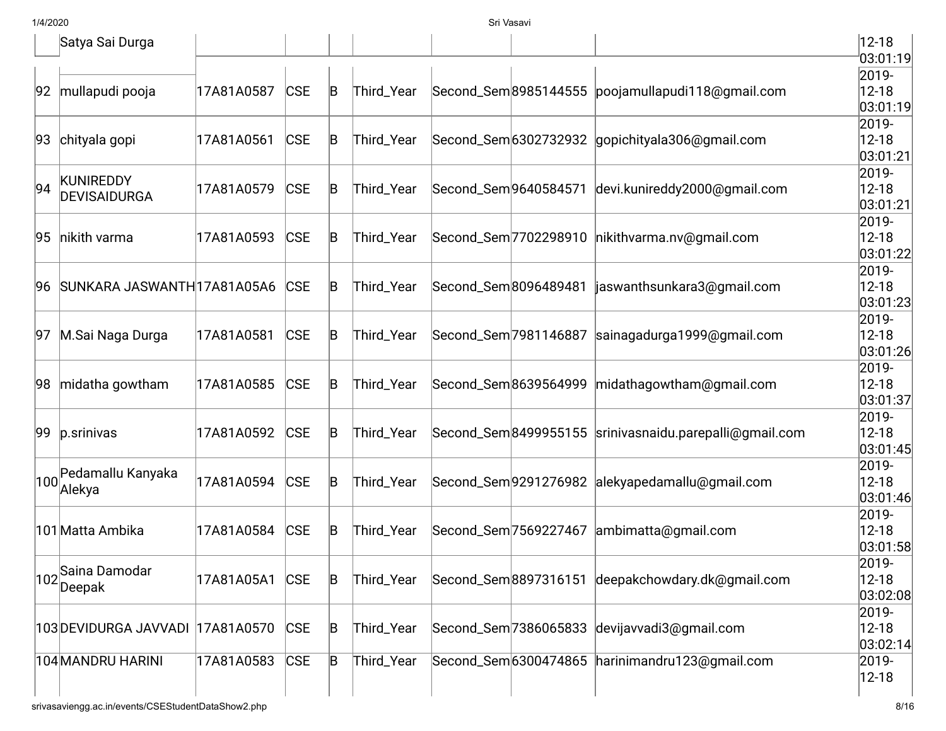|     | Satya Sai Durga                  |            |            |             |            |                       |                       |                                                        | $12 - 18$              |
|-----|----------------------------------|------------|------------|-------------|------------|-----------------------|-----------------------|--------------------------------------------------------|------------------------|
|     |                                  |            |            |             |            |                       |                       |                                                        | 03:01:19<br>2019-      |
| 92  | mullapudi pooja                  | 17A81A0587 | <b>CSE</b> | $\mathsf B$ | Third_Year |                       | Second_Sem 8985144555 | poojamullapudi118@gmail.com                            | $12 - 18$<br>03:01:19  |
|     |                                  |            |            |             |            |                       |                       |                                                        | 2019-                  |
| 93  | chityala gopi                    | 17A81A0561 | <b>CSE</b> | $\mathsf B$ | Third_Year |                       | Second_Sem 6302732932 | gopichityala306@gmail.com                              | $12 - 18$<br>03:01:21  |
| 94  | <b>KUNIREDDY</b>                 | 17A81A0579 | <b>CSE</b> | B           | Third_Year |                       | Second_Sem 9640584571 | devi.kunireddy2000@gmail.com                           | 2019-<br>$12 - 18$     |
|     | <b>DEVISAIDURGA</b>              |            |            |             |            |                       |                       |                                                        | 03:01:21               |
| 95  | nikith varma                     | 17A81A0593 | CSE        | B           | Third_Year |                       | Second_Sem 7702298910 | nikithvarma.nv@gmail.com                               | 2019-<br>$12 - 18$     |
|     |                                  |            |            |             |            |                       |                       |                                                        | 03:01:22               |
|     | 96 SUNKARA JASWANTH 17A81A05A6   |            | <b>CSE</b> | B           | Third_Year | Second_Sem 8096489481 |                       | jaswanthsunkara3@gmail.com                             | 2019-<br>$12 - 18$     |
|     |                                  |            |            |             |            |                       |                       |                                                        | 03:01:23<br>2019-      |
| 97  | M.Sai Naga Durga                 | 17A81A0581 | <b>CSE</b> | $\mathsf B$ | Third_Year |                       | Second_Sem 7981146887 | sainagadurga1999@gmail.com                             | $12 - 18$              |
|     |                                  |            |            |             |            |                       |                       |                                                        | 03:01:26 <br>2019-     |
| 98  | midatha gowtham                  | 17A81A0585 | <b>CSE</b> | B           | Third_Year |                       | Second_Sem8639564999  | midathagowtham@gmail.com                               | $12 - 18$              |
|     |                                  |            |            |             |            |                       |                       |                                                        | 03:01:37<br>2019-      |
| 99  | p.srinivas                       | 17A81A0592 | <b>CSE</b> | B           | Third_Year |                       |                       | Second_Sem8499955155 srinivasnaidu.parepalli@gmail.com | $12 - 18$<br>03:01:45  |
|     | Pedamallu Kanyaka                |            |            |             |            |                       |                       |                                                        | 2019-                  |
| 100 | Alekya                           | 17A81A0594 | <b>CSE</b> | B           | Third_Year |                       |                       | Second_Sem9291276982 alekyapedamallu@gmail.com         | $12 - 18$<br> 03:01:46 |
|     |                                  |            |            |             |            |                       |                       |                                                        | 2019-                  |
|     | 101 Matta Ambika                 | 17A81A0584 | <b>CSE</b> | $\mathsf B$ | Third_Year |                       |                       | Second_Sem 7569227467 ambimatta@gmail.com              | $12 - 18$<br> 03:01:58 |
|     | 102<br>Saina Damodar             | 17A81A05A1 | <b>CSE</b> | $\mathsf B$ | Third_Year |                       |                       | Second_Sem8897316151 deepakchowdary.dk@gmail.com       | 2019-<br>$12 - 18$     |
|     | Deepak                           |            |            |             |            |                       |                       |                                                        | 03:02:08               |
|     | 103 DEVIDURGA JAVVADI 17A81A0570 |            | <b>CSE</b> | B           | Third_Year |                       | Second_Sem 7386065833 | devijavvadi3@gmail.com                                 | 2019-<br>$12 - 18$     |
|     |                                  |            |            |             |            |                       |                       |                                                        | 03:02:14               |
|     | 104 MANDRU HARINI                | 17A81A0583 | <b>CSE</b> | $\mathsf B$ | Third_Year |                       | Second_Sem 6300474865 | harinimandru123@gmail.com                              | 2019-<br>12-18         |
|     |                                  |            |            |             |            |                       |                       |                                                        |                        |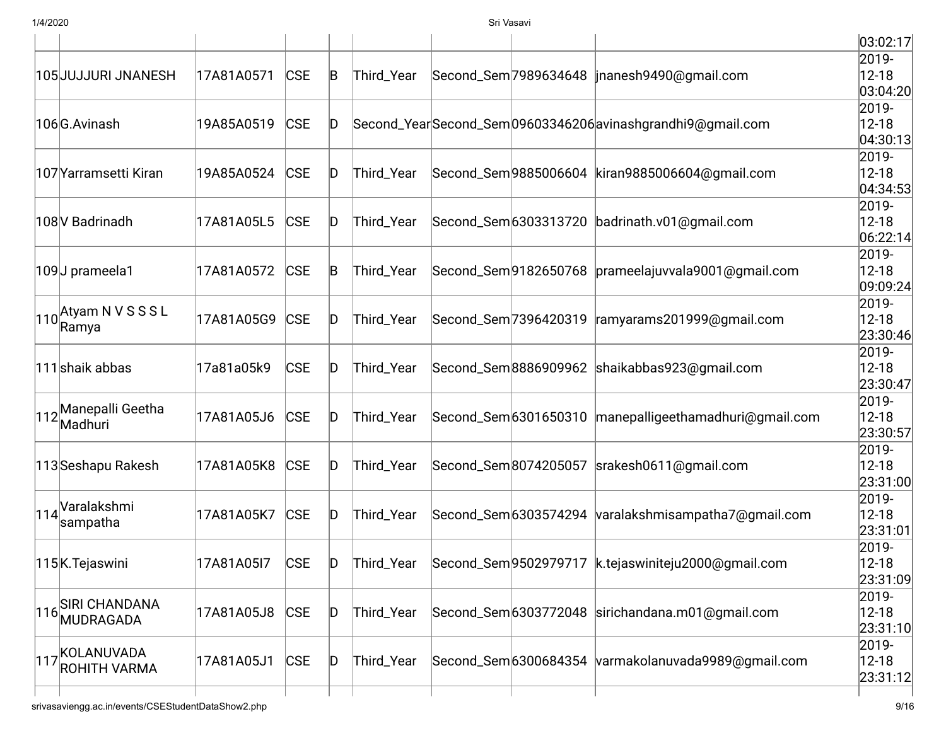|                                      |            |            |              |            |                       |                                                            | 03:02:17                |
|--------------------------------------|------------|------------|--------------|------------|-----------------------|------------------------------------------------------------|-------------------------|
| 105 JUJJURI JNANESH                  | 17A81A0571 | <b>CSE</b> | B            | Third_Year |                       | Second_Sem 7989634648   inanesh 9490@gmail.com             | 2019-<br>$12 - 18$      |
|                                      |            |            |              |            |                       |                                                            | 03:04:20                |
| 106G.Avinash                         | 19A85A0519 | <b>CSE</b> | ID           |            |                       | Second_YearSecond_Sem09603346206 avinashgrandhi9@gmail.com | 2019-<br>$12 - 18$      |
|                                      |            |            |              |            |                       |                                                            | 04:30:13                |
|                                      |            |            |              |            |                       |                                                            | 2019-                   |
| 107 Yarramsetti Kiran                | 19A85A0524 | <b>CSE</b> | ID           | Third_Year |                       | Second_Sem 9885006604   kiran 9885006604@gmail.com         | $12 - 18$               |
|                                      |            |            |              |            |                       |                                                            | 04:34:53                |
|                                      |            |            |              |            |                       |                                                            | 2019-                   |
| 108 V Badrinadh                      | 17A81A05L5 | <b>CSE</b> | D            | Third_Year | Second_Sem 6303313720 | badrinath.v01@gmail.com                                    | $12 - 18$               |
|                                      |            |            |              |            |                       |                                                            | 06:22:14                |
| 109J prameela1                       | 17A81A0572 | <b>CSE</b> | B            | Third_Year | Second_Sem 9182650768 | prameelajuvvala9001@gmail.com                              | 2019-<br>$12 - 18$      |
|                                      |            |            |              |            |                       |                                                            | 09:09:24                |
|                                      |            |            |              |            |                       |                                                            | 2019-                   |
| $\left 110\right $ Atyam N V S S S L | 17A81A05G9 | <b>CSE</b> | D            | Third_Year | Second_Sem 7396420319 | ramyarams201999@gmail.com                                  | $12 - 18$               |
| Ramya                                |            |            |              |            |                       |                                                            | 23:30:46                |
|                                      |            |            |              |            |                       |                                                            | 2019-                   |
| 111 shaik abbas                      | 17a81a05k9 | <b>CSE</b> | D            | Third_Year | Second_Sem8886909962  | shaikabbas923@gmail.com                                    | $12 - 18$               |
|                                      |            |            |              |            |                       |                                                            | 23:30:47                |
| 112 Manepalli Geetha                 | 17A81A05J6 | <b>CSE</b> | ID           | Third_Year | Second_Sem 6301650310 | manepalligeethamadhuri@gmail.com                           | 2019-<br>$12 - 18$      |
| Madhuri                              |            |            |              |            |                       |                                                            | 23:30:57                |
|                                      |            |            |              |            |                       |                                                            | 2019-                   |
| 113 Seshapu Rakesh                   | 17A81A05K8 | <b>CSE</b> | ID           | Third_Year | Second_Sem8074205057  | srakesh0611@gmail.com                                      | $12 - 18$               |
|                                      |            |            |              |            |                       |                                                            | 23:31:00                |
| Varalakshmi                          |            |            |              |            |                       |                                                            | 2019-                   |
| 114<br>sampatha                      | 17A81A05K7 | <b>CSE</b> | D            | Third_Year | Second_Sem 6303574294 | varalakshmisampatha7@gmail.com                             | $12 - 18$               |
|                                      |            |            |              |            |                       |                                                            | 23:31:01                |
|                                      |            |            |              |            |                       |                                                            | 2019-                   |
| 115K. Tejaswini                      | 17A81A05I7 | <b>CSE</b> | D            | Third_Year |                       | Second_Sem 9502979717  k.tejaswiniteju 2000@gmail.com      | $ 12 - 18 $<br>23:31:09 |
|                                      |            |            |              |            |                       |                                                            | 2019-                   |
| <b>SIRI CHANDANA</b>                 | 17A81A05J8 | <b>CSE</b> | $\mathsf{D}$ | Third_Year |                       | Second_Sem 6303772048 sirichandana.m01@gmail.com           | $12 - 18$               |
| 116 MUDRAGADA                        |            |            |              |            |                       |                                                            | 23:31:10                |
| KOLANUVADA                           |            |            |              |            |                       |                                                            | 2019-                   |
| 117<br><b>ROHITH VARMA</b>           | 17A81A05J1 | <b>CSE</b> | $\mathsf{D}$ | Third_Year |                       | Second_Sem 6300684354 varmakolanuvada9989@gmail.com        | $12 - 18$               |
|                                      |            |            |              |            |                       |                                                            | 23:31:12                |
|                                      |            |            |              |            |                       |                                                            |                         |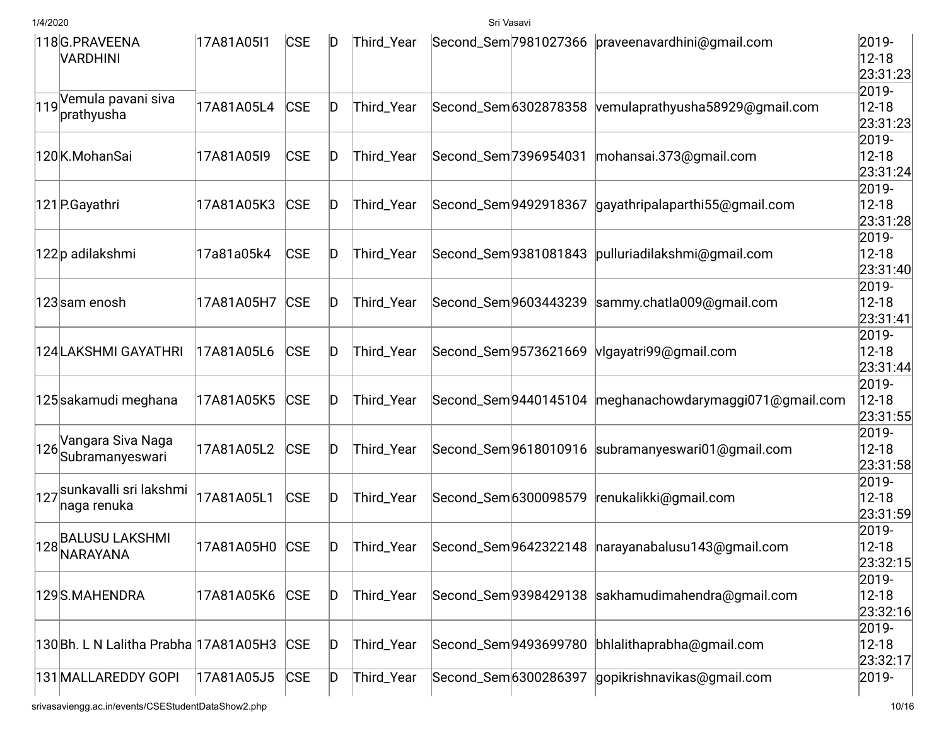|     | 118G.PRAVEENA<br>VARDHINI             | 17A81A05I1 | <b>CSE</b> | ID           | Third_Year |                       |                      | Second_Sem 7981027366 praveenavardhini@qmail.com         | 2019-<br>$12 - 18$<br>23:31:23 |
|-----|---------------------------------------|------------|------------|--------------|------------|-----------------------|----------------------|----------------------------------------------------------|--------------------------------|
|     | 119 Vemula pavani siva<br>prathyusha  | 17A81A05L4 | <b>CSE</b> | ID           | Third_Year | Second_Sem 6302878358 |                      | vemulaprathyusha58929@gmail.com                          | 2019-<br>$12 - 18$<br>23:31:23 |
|     | 120K.MohanSai                         | 17A81A05I9 | <b>CSE</b> | ID           | Third_Year | Second_Sem 7396954031 |                      | mohansai.373@gmail.com                                   | 2019-<br>$12 - 18$<br>23:31:24 |
|     | 121 P.Gayathri                        | 17A81A05K3 | <b>CSE</b> | D            | Third_Year | Second_Sem9492918367  |                      | gayathripalaparthi55@gmail.com                           | 2019-<br>$12 - 18$<br>23:31:28 |
|     | 122p adilakshmi                       | 17a81a05k4 | <b>CSE</b> | ID           | Third_Year |                       | Second_Sem9381081843 | pulluriadilakshmi@gmail.com                              | 2019-<br>$12 - 18$<br>23:31:40 |
|     | 123 sam enosh                         | 17A81A05H7 | <b>CSE</b> | ID           | Third_Year |                       | Second_Sem9603443239 | sammy.chatla009@gmail.com                                | 2019-<br>$12 - 18$<br>23:31:41 |
|     | 124 LAKSHMI GAYATHRI                  | 17A81A05L6 | <b>CSE</b> | D            | Third_Year | Second_Sem 9573621669 |                      | vlgayatri99@gmail.com                                    | 2019-<br>$12 - 18$<br>23:31:44 |
|     | 125 sakamudi meghana                  | 17A81A05K5 | <b>CSE</b> | ID           | Third_Year |                       |                      | Second_Sem 9440145104 meghanachowdary maggi071@gmail.com | 2019-<br>$12 - 18$<br>23:31:55 |
| 126 | Vangara Siva Naga<br>Subramanyeswari  | 17A81A05L2 | <b>CSE</b> | ID           | Third_Year |                       |                      | Second_Sem9618010916 subramanyeswari01@gmail.com         | 2019-<br>$12 - 18$<br>23:31:58 |
| 127 | sunkavalli sri lakshmi<br>naga renuka | 17A81A05L1 | <b>CSE</b> | ID           | Third_Year | Second_Sem 6300098579 |                      | renukalikki@gmail.com                                    | 2019-<br>$12 - 18$<br>23:31:59 |
| 128 | BALUSU LAKSHMI<br>NARAYANA            | 17A81A05H0 | <b>CSE</b> | ID           | Third_Year |                       |                      | Second_Sem9642322148  narayanabalusu143@gmail.com        | 2019-<br>$12 - 18$<br>23:32:15 |
|     | 129S.MAHENDRA                         | 17A81A05K6 | <b>CSE</b> | $\mathsf{D}$ | Third_Year |                       |                      | Second_Sem9398429138 sakhamudimahendra@gmail.com         | 2019-<br>$12 - 18$<br>23:32:16 |
|     | 130Bh. L N Lalitha Prabha 17A81A05H3  |            | <b>CSE</b> | ID           | Third_Year | Second_Sem 9493699780 |                      | bhlalithaprabha@gmail.com                                | 2019-<br>$12 - 18$<br>23:32:17 |
|     | 131 MALLAREDDY GOPI                   | 17A81A05J5 | <b>CSE</b> | $\mathsf{D}$ | Third_Year | Second_Sem 6300286397 |                      | gopikrishnavikas@gmail.com                               | 2019-                          |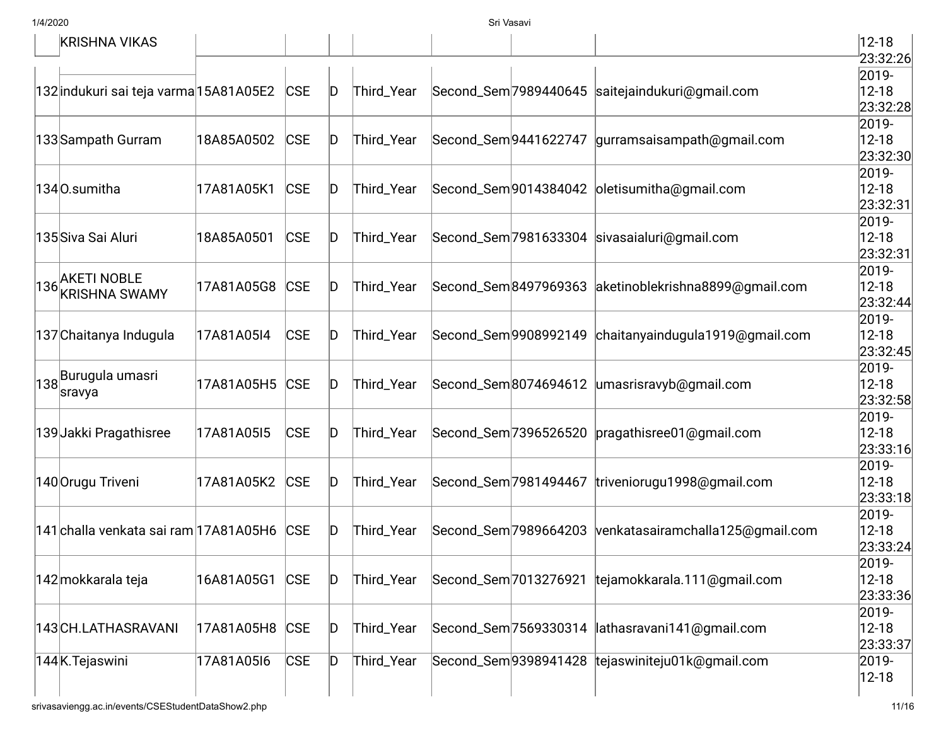| KRISHNA VIKAS                                  |            |            |              |            |                       |                                                        | $ 12 - 18 $ |
|------------------------------------------------|------------|------------|--------------|------------|-----------------------|--------------------------------------------------------|-------------|
|                                                |            |            |              |            |                       |                                                        | 23:32:26    |
|                                                |            |            |              |            |                       |                                                        | 2019-       |
| 132 indukuri sai teja varma 15A81A05E2         |            | <b>CSE</b> | D            | Third_Year |                       | Second_Sem 7989440645 saitejaindukuri@gmail.com        | $12 - 18$   |
|                                                |            |            |              |            |                       |                                                        | 23:32:28    |
|                                                |            |            |              |            |                       |                                                        | 2019-       |
| 133 Sampath Gurram                             | 18A85A0502 | <b>CSE</b> | ID           | Third_Year | Second_Sem 9441622747 | gurramsaisampath@gmail.com                             | $12 - 18$   |
|                                                |            |            |              |            |                       |                                                        | [23:32:30]  |
|                                                |            |            |              |            |                       |                                                        | 2019-       |
| 1340.sumitha                                   | 17A81A05K1 | CSE        | ID           | Third_Year |                       | Second_Sem9014384042 oletisumitha@gmail.com            | $12 - 18$   |
|                                                |            |            |              |            |                       |                                                        | 23:32:31    |
|                                                |            |            |              |            |                       |                                                        | 2019-       |
| 135 Siva Sai Aluri                             | 18A85A0501 | CSE        | D            | Third_Year |                       | Second_Sem 7981633304 sivasaialuri@gmail.com           | $12 - 18$   |
|                                                |            |            |              |            |                       |                                                        | 23:32:31    |
|                                                |            |            |              |            |                       |                                                        | 2019-       |
| 136 AKETI NOBLE<br>136 KRISHNA SWAMY           | 17A81A05G8 | <b>CSE</b> | D            | Third_Year |                       | Second_Sem8497969363 aketinoblekrishna8899@gmail.com   | $12 - 18$   |
|                                                |            |            |              |            |                       |                                                        | 23:32:44    |
|                                                |            |            |              |            |                       |                                                        | 2019-       |
| 137 Chaitanya Indugula                         | 17A81A05I4 | CSE        | D            | Third_Year |                       | Second_Sem 9908992149 chaitanyaindugula 1919@gmail.com | $12 - 18$   |
|                                                |            |            |              |            |                       |                                                        | 23:32:45    |
| $\left  138\right  _{\rm{21}}$ Burugula umasri |            |            |              |            |                       |                                                        | 2019-       |
| sravya                                         | 17A81A05H5 | CSE        | D            | Third_Year |                       | Second_Sem8074694612 umasrisravyb@gmail.com            | $12 - 18$   |
|                                                |            |            |              |            |                       |                                                        | 23:32:58    |
|                                                |            |            |              |            |                       |                                                        | 2019-       |
| 139 Jakki Pragathisree                         | 17A81A05I5 | <b>CSE</b> | ID           | Third_Year | Second_Sem 7396526520 | pragathisree01@gmail.com                               | $12 - 18$   |
|                                                |            |            |              |            |                       |                                                        | 23:33:16    |
|                                                |            |            |              |            |                       |                                                        | 2019-       |
| 140 Orugu Triveni                              | 17A81A05K2 | <b>CSE</b> | ID           | Third_Year |                       | Second_Sem 7981494467 triveniorugu 1998@gmail.com      | $12 - 18$   |
|                                                |            |            |              |            |                       |                                                        | 23:33:18    |
|                                                |            |            |              |            |                       |                                                        | 2019-       |
| 141 challa venkata sai ram 17A81A05H6          |            | <b>CSE</b> | D            | Third_Year | Second_Sem 7989664203 | venkatasairamchalla125@gmail.com                       | $12 - 18$   |
|                                                |            |            |              |            |                       |                                                        | 23:33:24    |
|                                                |            |            |              |            |                       |                                                        | 2019-       |
| 142 mokkarala teja                             | 16A81A05G1 | <b>CSE</b> | D            | Third_Year |                       | Second_Sem 7013276921 tejamokkarala.111@gmail.com      | $12 - 18$   |
|                                                |            |            |              |            |                       |                                                        | 23:33:36    |
|                                                |            |            |              |            |                       |                                                        | 2019-       |
| 143 CH.LATHASRAVANI                            | 17A81A05H8 | <b>CSE</b> | D            | Third_Year | Second_Sem 7569330314 | lathasravani141@gmail.com                              | $12 - 18$   |
|                                                |            |            |              |            |                       |                                                        | 23:33:37    |
| 144K.Tejaswini                                 | 17A81A05I6 | <b>CSE</b> | $\mathsf{D}$ | Third_Year |                       | Second_Sem9398941428 tejaswiniteju01k@gmail.com        | 2019-       |
|                                                |            |            |              |            |                       |                                                        | $12 - 18$   |
|                                                |            |            |              |            |                       |                                                        |             |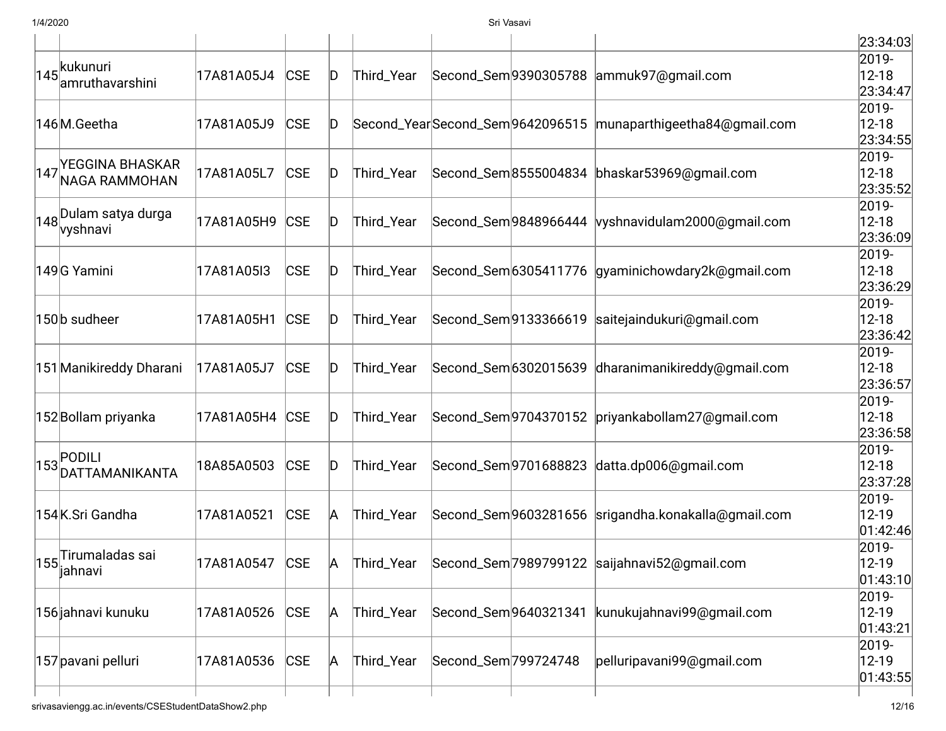|                                          |            |            |    |            |                      |                       |                                                               | 23:34:03              |
|------------------------------------------|------------|------------|----|------------|----------------------|-----------------------|---------------------------------------------------------------|-----------------------|
| $\left 145\right $ kukunuri              |            |            |    |            |                      |                       |                                                               | 2019-                 |
| amruthavarshini                          | 17A81A05J4 | <b>CSE</b> | ID | Third_Year |                      |                       | Second_Sem9390305788 ammuk97@gmail.com                        | $12 - 18$<br>23:34:47 |
|                                          |            |            |    |            |                      |                       |                                                               | 2019-                 |
| 146M.Geetha                              | 17A81A05J9 | <b>CSE</b> | ID |            |                      |                       | Second_YearSecond_Sem9642096515  munaparthigeetha84@gmail.com | $12 - 18$             |
|                                          |            |            |    |            |                      |                       |                                                               | 23:34:55              |
|                                          |            |            |    |            |                      |                       |                                                               | 2019-                 |
| 147 YEGGINA BHASKAR<br>147 NAGA RAMMOHAN | 17A81A05L7 | <b>CSE</b> | ID | Third_Year |                      |                       | Second_Sem8555004834 bhaskar53969@gmail.com                   | $12 - 18$             |
|                                          |            |            |    |            |                      |                       |                                                               | 23:35:52              |
| $\left 148\right $ Dulam satya durga     |            |            |    |            |                      |                       |                                                               | 2019-                 |
| vyshnavi                                 | 17A81A05H9 | <b>CSE</b> | ID | Third_Year |                      |                       | Second_Sem9848966444   vyshnavidulam2000@gmail.com            | $12 - 18$             |
|                                          |            |            |    |            |                      |                       |                                                               | 23:36:09              |
|                                          |            |            |    |            |                      |                       |                                                               | 2019-                 |
| 149 G Yamini                             | 17A81A05I3 | <b>CSE</b> | ID | Third_Year |                      |                       | Second_Sem 6305411776 gyaminichowdary2k@gmail.com             | $12 - 18$<br>23:36:29 |
|                                          |            |            |    |            |                      |                       |                                                               | 2019-                 |
| 150b sudheer                             | 17A81A05H1 | CSE        | D  | Third_Year |                      |                       | Second_Sem9133366619 saitejaindukuri@gmail.com                | $12 - 18$             |
|                                          |            |            |    |            |                      |                       |                                                               | 23:36:42              |
|                                          |            |            |    |            |                      |                       |                                                               | 2019-                 |
| 151 Manikireddy Dharani                  | 17A81A05J7 | <b>CSE</b> | ID | Third_Year |                      | Second_Sem 6302015639 | dharanimanikireddy@gmail.com                                  | $12 - 18$             |
|                                          |            |            |    |            |                      |                       |                                                               | 23:36:57              |
|                                          |            |            |    |            |                      |                       |                                                               | 2019-                 |
| 152Bollam priyanka                       | 17A81A05H4 | <b>CSE</b> | ID | Third_Year |                      |                       | Second_Sem 9704370152 priyankabollam 27@gmail.com             | $12 - 18$             |
|                                          |            |            |    |            |                      |                       |                                                               | 23:36:58              |
| $\left 153\right $ PODILI                |            |            |    |            |                      |                       |                                                               | 2019-                 |
| DATTAMANIKANTA                           | 18A85A0503 | <b>CSE</b> | D  | Third_Year |                      |                       | Second_Sem 9701688823 datta.dp006@gmail.com                   | $12 - 18$             |
|                                          |            |            |    |            |                      |                       |                                                               | 23:37:28              |
|                                          |            |            |    |            |                      |                       |                                                               | 2019-                 |
| 154K.Sri Gandha                          | 17A81A0521 | <b>CSE</b> | A  | Third_Year |                      |                       | Second_Sem 9603281656 srigandha.konakalla@gmail.com           | 12-19                 |
|                                          |            |            |    |            |                      |                       |                                                               | 01:42:46<br>2019-     |
| $\vert$ 155 $\vert$ Tirumaladas sai      | 17A81A0547 | <b>CSE</b> | A  | Third_Year |                      |                       | Second_Sem 7989799122 saijahnavi 52@gmail.com                 | $ 12-19$              |
| ∥annavı                                  |            |            |    |            |                      |                       |                                                               | 01:43:10              |
|                                          |            |            |    |            |                      |                       |                                                               | 2019-                 |
| 156 jahnavi kunuku                       | 17A81A0526 | <b>CSE</b> | A  | Third_Year | Second_Sem9640321341 |                       | kunukujahnavi99@gmail.com                                     | 12-19                 |
|                                          |            |            |    |            |                      |                       |                                                               | 01:43:21              |
|                                          |            |            |    |            |                      |                       |                                                               | 2019-                 |
| 157 pavani pelluri                       | 17A81A0536 | CSE        | A  | Third_Year | Second_Sem 799724748 |                       | pelluripavani99@gmail.com                                     | $12 - 19$             |
|                                          |            |            |    |            |                      |                       |                                                               | 01:43:55              |
|                                          |            |            |    |            |                      |                       |                                                               |                       |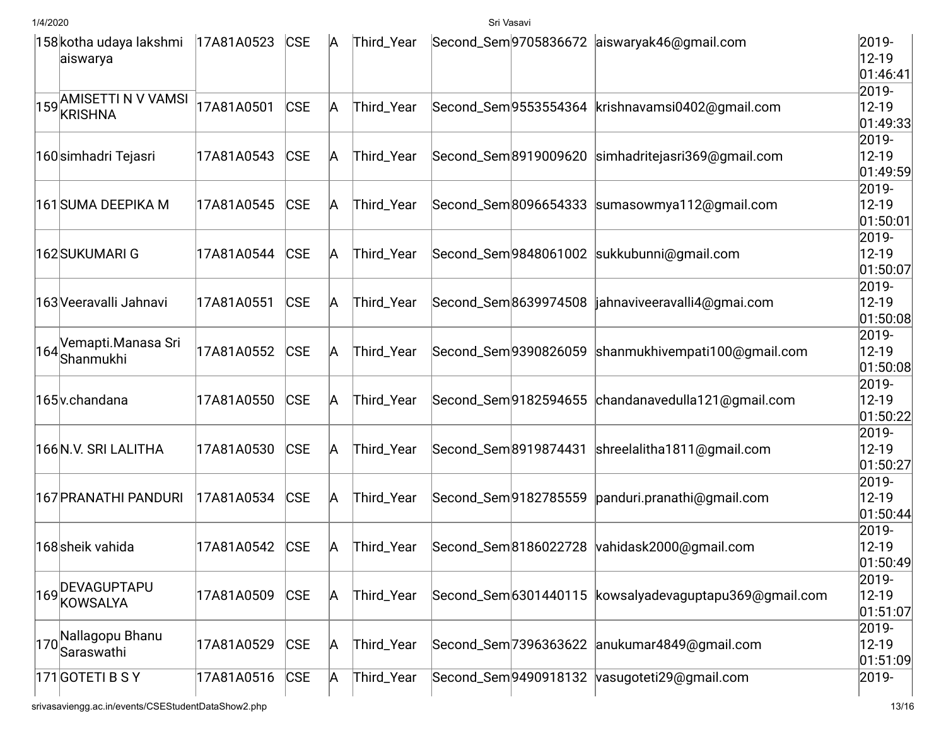|     | 158 kotha udaya lakshmi<br>aiswarya      | 17A81A0523 | <b>CSE</b> | A | Third_Year |                       |                       | Second_Sem 9705836672 aiswaryak46@gmail.com            | 2019-<br>12-19<br> 01:46:41     |
|-----|------------------------------------------|------------|------------|---|------------|-----------------------|-----------------------|--------------------------------------------------------|---------------------------------|
|     | 159 AMISETTI N V VAMSI<br><b>KRISHNA</b> | 17A81A0501 | <b>CSE</b> | A | Third_Year |                       |                       | Second_Sem 9553554364 krishnavamsi0402@gmail.com       | 2019-<br>$12 - 19$<br> 01:49:33 |
|     | 160 simhadri Tejasri                     | 17A81A0543 | <b>CSE</b> | A | Third_Year |                       |                       | Second_Sem8919009620 simhadritejasri369@gmail.com      | 2019-<br>$12 - 19$<br> 01:49:59 |
|     | 161 SUMA DEEPIKA M                       | 17A81A0545 | <b>CSE</b> | A | Third_Year |                       |                       | Second_Sem8096654333 sumasowmya112@gmail.com           | 2019-<br>$12 - 19$<br> 01:50:01 |
|     | 162 SUKUMARI G                           | 17A81A0544 | <b>CSE</b> | A | Third_Year |                       |                       | Second_Sem9848061002 sukkubunni@gmail.com              | 2019-<br>12-19<br> 01:50:07     |
|     | 163 Veeravalli Jahnavi                   | 17A81A0551 | <b>CSE</b> | A | Third_Year |                       | Second_Sem8639974508  | jahnaviveeravalli4@gmai.com                            | 2019-<br>$12 - 19$<br> 01:50:08 |
| 164 | Vemapti.Manasa Sri<br>Shanmukhi          | 17A81A0552 | <b>CSE</b> | A | Third_Year |                       |                       | Second_Sem9390826059 shanmukhivempati100@gmail.com     | 2019-<br>12-19<br> 01:50:08     |
|     | 165 <sub>V</sub> .chandana               | 17A81A0550 | <b>CSE</b> | A | Third_Year |                       |                       | Second_Sem 9182594655 chandanavedulla 121@gmail.com    | 2019-<br>12-19<br>01:50:22      |
|     | 166N.V. SRI LALITHA                      | 17A81A0530 | <b>CSE</b> | A | Third_Year |                       | Second_Sem 8919874431 | shreelalitha1811@gmail.com                             | 2019-<br>$12 - 19$<br>01:50:27  |
|     | 167 PRANATHI PANDURI                     | 17A81A0534 | <b>CSE</b> | A | Third_Year | Second_Sem9182785559  |                       | panduri.pranathi@gmail.com                             | 2019-<br>12-19<br> 01:50:44     |
|     | 168sheik vahida                          | 17A81A0542 | <b>CSE</b> | A | Third_Year | Second_Sem 8186022728 |                       | vahidask2000@gmail.com                                 | 2019-<br>12-19<br> 01:50:49     |
| 169 | DEVAGUPTAPU<br><b>KOWSALYA</b>           | 17A81A0509 | <b>CSE</b> | A | Third_Year |                       |                       | Second_Sem 6301440115 kowsalyadevaguptapu369@gmail.com | 2019-<br>12-19<br> 01:51:07     |
| 170 | Nallagopu Bhanu<br>Saraswathi            | 17A81A0529 | <b>CSE</b> | A | Third_Year |                       |                       | Second_Sem 7396363622 anukumar4849@gmail.com           | 2019-<br>12-19<br> 01:51:09     |
|     | 171 GOTETI B S Y                         | 17A81A0516 | <b>CSE</b> | A | Third_Year |                       | Second_Sem 9490918132 | vasugoteti29@gmail.com                                 | 2019-                           |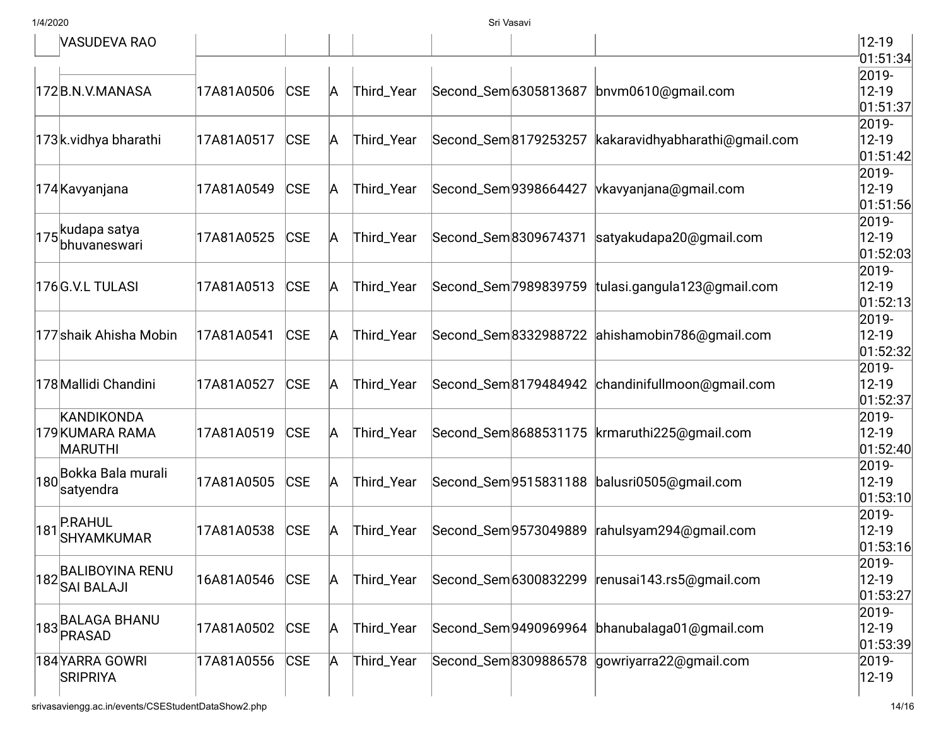|     | VASUDEVA RAO                           |            |            |   |            |                      |                       |                                                | 12-19              |
|-----|----------------------------------------|------------|------------|---|------------|----------------------|-----------------------|------------------------------------------------|--------------------|
|     |                                        |            |            |   |            |                      |                       |                                                | 01:51:34           |
|     |                                        |            |            |   |            |                      |                       |                                                | 2019-              |
|     | 172B.N.V.MANASA                        | 17A81A0506 | <b>CSE</b> | A | Third_Year |                      | Second_Sem 6305813687 | bnvm0610@gmail.com                             | $12 - 19$          |
|     |                                        |            |            |   |            |                      |                       |                                                | 01:51:37           |
|     |                                        |            |            |   |            |                      |                       |                                                | 2019-              |
|     | 173k.vidhya bharathi                   | 17A81A0517 | <b>CSE</b> | А | Third_Year |                      | Second_Sem 8179253257 | kakaravidhyabharathi@gmail.com                 | 12-19              |
|     |                                        |            |            |   |            |                      |                       |                                                | 01:51:42           |
|     |                                        |            |            |   |            |                      |                       |                                                | 2019-              |
|     | 174 Kavyanjana                         | 17A81A0549 | <b>CSE</b> | А | Third_Year | Second_Sem9398664427 |                       | vkavyanjana@gmail.com                          | 12-19              |
|     |                                        |            |            |   |            |                      |                       |                                                | 01:51:56 <br>2019- |
|     | 175kudapa satya                        | 17A81A0525 | <b>CSE</b> | А | Third_Year |                      | Second_Sem8309674371  | satyakudapa20@gmail.com                        | 12-19              |
|     | bhuvaneswari                           |            |            |   |            |                      |                       |                                                | 01:52:03           |
|     |                                        |            |            |   |            |                      |                       |                                                | 2019-              |
|     | 176G.V.L TULASI                        | 17A81A0513 | <b>CSE</b> | A | Third_Year |                      | Second_Sem 7989839759 | tulasi.gangula123@gmail.com                    | 12-19              |
|     |                                        |            |            |   |            |                      |                       |                                                | 01:52:13           |
|     |                                        |            |            |   |            |                      |                       |                                                | 2019-              |
|     | 177shaik Ahisha Mobin                  | 17A81A0541 | <b>CSE</b> | A | Third_Year |                      | Second_Sem8332988722  | ahishamobin786@gmail.com                       | $12 - 19$          |
|     |                                        |            |            |   |            |                      |                       |                                                | 01:52:32           |
|     |                                        |            |            |   |            |                      |                       |                                                | 2019-              |
|     | 178 Mallidi Chandini                   | 17A81A0527 | <b>CSE</b> | A | Third_Year |                      | Second_Sem8179484942  | chandinifullmoon@gmail.com                     | 12-19              |
|     |                                        |            |            |   |            |                      |                       |                                                | 01:52:37           |
|     | KANDIKONDA                             |            |            |   |            |                      |                       |                                                | 2019-              |
|     | 179 KUMARA RAMA                        | 17A81A0519 | <b>CSE</b> | А | Third_Year |                      | Second_Sem 8688531175 | krmaruthi225@gmail.com                         | 12-19              |
|     | <b>MARUTHI</b>                         |            |            |   |            |                      |                       |                                                | 01:52:40           |
|     | 180 Bokka Bala murali                  |            |            |   |            |                      |                       |                                                | 2019-              |
|     | satyendra                              | 17A81A0505 | <b>CSE</b> | A | Third_Year |                      |                       | Second_Sem 9515831188   balusri 0505@gmail.com | $12 - 19$          |
|     |                                        |            |            |   |            |                      |                       |                                                | 01:53:10           |
| 181 | <b>P.RAHUL</b>                         |            |            |   |            |                      |                       |                                                | 2019-              |
|     | <b>SHYAMKUMAR</b>                      | 17A81A0538 | <b>CSE</b> | A | Third_Year |                      | Second_Sem 9573049889 | rahulsyam294@gmail.com                         | 12-19<br>01:53:16  |
|     |                                        |            |            |   |            |                      |                       |                                                | 2019-              |
|     | 182 BALIBOYINA RENU<br> 182 SAI BALAJI | 16A81A0546 | <b>CSE</b> | A | Third_Year |                      |                       | Second_Sem6300832299 renusai143.rs5@gmail.com  | 12-19              |
|     |                                        |            |            |   |            |                      |                       |                                                | 01:53:27           |
|     |                                        |            |            |   |            |                      |                       |                                                | 2019-              |
|     | 183BALAGA BHANU                        | 17A81A0502 | <b>CSE</b> | A | Third_Year |                      |                       | Second_Sem 9490969964 bhanubalaga01@gmail.com  | $12 - 19$          |
|     |                                        |            |            |   |            |                      |                       |                                                | 01:53:39           |
|     | 184 YARRA GOWRI                        | 17A81A0556 | <b>CSE</b> | A | Third_Year |                      | Second_Sem8309886578  | gowriyarra22@gmail.com                         | 2019-              |
|     | <b>SRIPRIYA</b>                        |            |            |   |            |                      |                       |                                                | 12-19              |
|     |                                        |            |            |   |            |                      |                       |                                                |                    |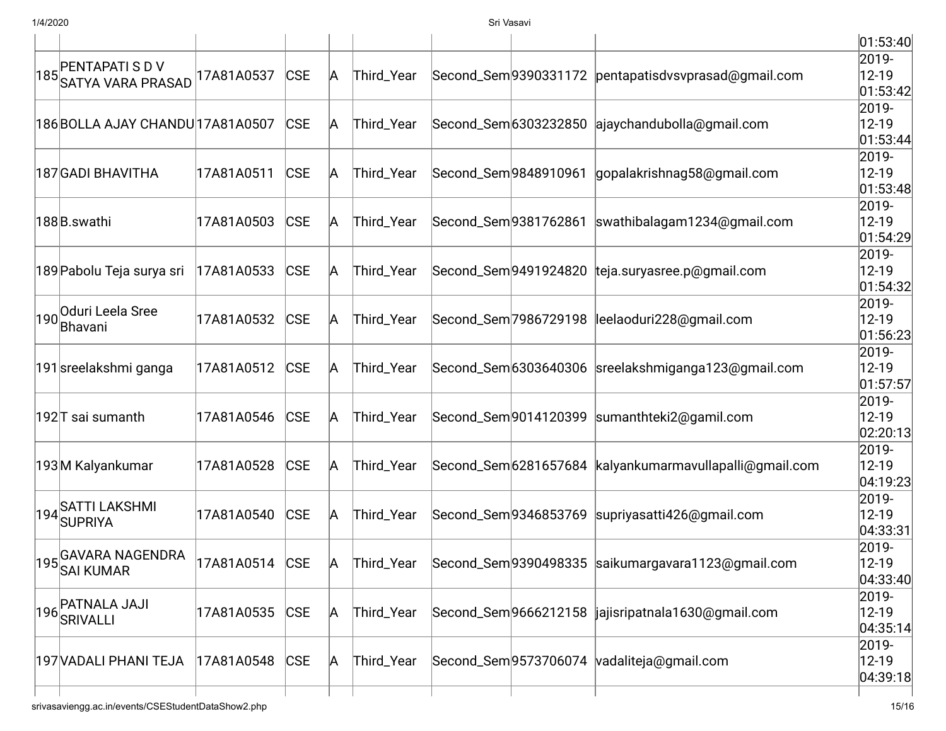|                                              |            |            |   |            |                       |                                                         | 01:53:40          |
|----------------------------------------------|------------|------------|---|------------|-----------------------|---------------------------------------------------------|-------------------|
|                                              |            |            |   |            |                       |                                                         | 2019-             |
| 185 PENTAPATI S D V<br>185 SATYA VARA PRASAD | 17A81A0537 | <b>CSE</b> | A | Third_Year |                       | Second_Sem9390331172 pentapatisdvsvprasad@gmail.com     | $12 - 19$         |
|                                              |            |            |   |            |                       |                                                         | 01:53:42          |
|                                              |            |            |   |            |                       |                                                         | 2019-             |
| 186 BOLLA AJAY CHANDU 17A81A0507             |            | <b>CSE</b> | A | Third_Year |                       | Second_Sem6303232850 ajaychandubolla@gmail.com          | $12 - 19$         |
|                                              |            |            |   |            |                       |                                                         | 01:53:44          |
|                                              |            |            |   |            |                       |                                                         | 2019-             |
| 187 GADI BHAVITHA                            | 17A81A0511 | <b>CSE</b> | A | Third_Year | Second_Sem9848910961  | gopalakrishnag58@gmail.com                              | $12 - 19$         |
|                                              |            |            |   |            |                       |                                                         | 01:53:48<br>2019- |
| 188B.swathi                                  | 17A81A0503 | <b>CSE</b> | A | Third_Year | Second_Sem9381762861  | swathibalagam1234@gmail.com                             | $12 - 19$         |
|                                              |            |            |   |            |                       |                                                         | 01:54:29          |
|                                              |            |            |   |            |                       |                                                         | 2019-             |
| 189 Pabolu Teja surya sri                    | 17A81A0533 | <b>CSE</b> | A | Third_Year | Second_Sem 9491924820 | teja.suryasree.p@gmail.com                              | $12 - 19$         |
|                                              |            |            |   |            |                       |                                                         | 01:54:32          |
|                                              |            |            |   |            |                       |                                                         | 2019-             |
| 190 Oduri Leela Sree                         | 17A81A0532 | CSE        | A | Third_Year | Second_Sem 7986729198 | leelaoduri228@gmail.com                                 | $12 - 19$         |
| Bhavani                                      |            |            |   |            |                       |                                                         | 01:56:23          |
|                                              |            |            |   |            |                       |                                                         | 2019-             |
| 191 sreelakshmi ganga                        | 17A81A0512 | CSE        | A | Third_Year |                       | Second_Sem 6303640306 sreelakshmiganga 123@gmail.com    | $12 - 19$         |
|                                              |            |            |   |            |                       |                                                         | 01:57:57          |
|                                              |            |            |   |            |                       |                                                         | 2019-             |
| 192 T sai sumanth                            | 17A81A0546 | <b>CSE</b> | A | Third_Year |                       | Second_Sem9014120399  sumanthteki2@gamil.com            | $12 - 19$         |
|                                              |            |            |   |            |                       |                                                         | 02:20:13          |
|                                              |            |            |   |            |                       |                                                         | 2019-             |
| 193M Kalyankumar                             | 17A81A0528 | <b>CSE</b> | A | Third_Year |                       | Second_Sem 6281657684 kalyankumarmavullapalli@gmail.com | $12 - 19$         |
|                                              |            |            |   |            |                       |                                                         | 04:19:23          |
| 194SATTI LAKSHMI                             |            |            |   |            |                       |                                                         | 2019-             |
| <b>SUPRIYA</b>                               | 17A81A0540 | CSE        | A | Third_Year |                       | Second_Sem9346853769  supriyasatti426@gmail.com         | $12 - 19$         |
|                                              |            |            |   |            |                       |                                                         | 04:33:31          |
| 195 GAVARA NAGENDRA                          |            |            |   |            |                       |                                                         | 2019-             |
| <b>SAI KUMAR</b>                             | 17A81A0514 | <b>CSE</b> | А | Third_Year |                       | Second_Sem 9390498335 saikumargavara1123@gmail.com      | $ 12 - 19$        |
|                                              |            |            |   |            |                       |                                                         | 04:33:40          |
| PATNALA JAJI                                 |            |            |   |            |                       |                                                         | 2019-             |
| $\left  196 \right $ SRIVALLI                | 17A81A0535 | CSE        | A | Third_Year |                       | Second_Sem9666212158  jajisripatnala1630@gmail.com      | $12 - 19$         |
|                                              |            |            |   |            |                       |                                                         | 04:35:14          |
|                                              |            |            |   |            |                       |                                                         | 2019-             |
| 197 VADALI PHANI TEJA                        | 17A81A0548 | CSE        | A | Third_Year |                       | Second_Sem9573706074 vadaliteja@gmail.com               | $12 - 19$         |
|                                              |            |            |   |            |                       |                                                         | 04:39:18          |
|                                              |            |            |   |            |                       |                                                         |                   |